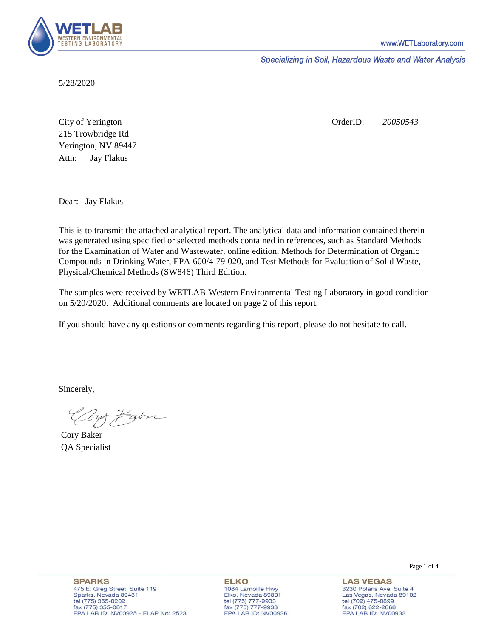

Specializing in Soil, Hazardous Waste and Water Analysis

5/28/2020

Attn: City of Yerington 215 Trowbridge Rd Jay Flakus Yerington, NV 89447 OrderID: *20050543*

Dear: Jay Flakus

This is to transmit the attached analytical report. The analytical data and information contained therein was generated using specified or selected methods contained in references, such as Standard Methods for the Examination of Water and Wastewater, online edition, Methods for Determination of Organic Compounds in Drinking Water, EPA-600/4-79-020, and Test Methods for Evaluation of Solid Waste, Physical/Chemical Methods (SW846) Third Edition.

The samples were received by WETLAB-Western Environmental Testing Laboratory in good condition on 5/20/2020. Additional comments are located on page 2 of this report.

If you should have any questions or comments regarding this report, please do not hesitate to call.

Sincerely,

Coy Palor

Cory Baker QA Specialist

Page 1 of 4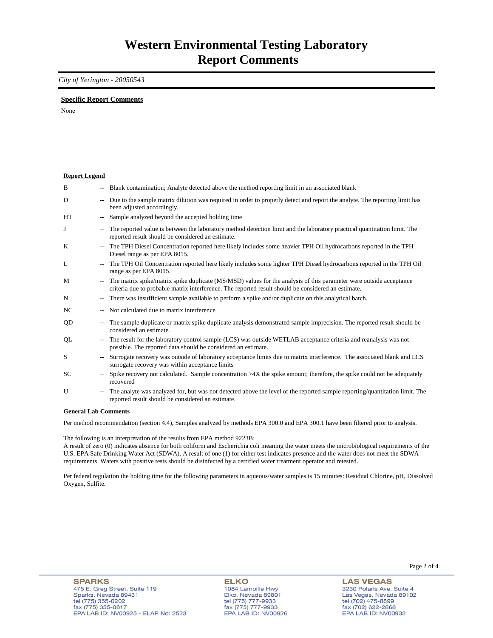### *City of Yerington - 20050543*

### **Specific Report Comments**

None

| <b>Report Legend</b> |                          |                                                                                                                                                                                                                           |
|----------------------|--------------------------|---------------------------------------------------------------------------------------------------------------------------------------------------------------------------------------------------------------------------|
| B                    |                          | -- Blank contamination; Analyte detected above the method reporting limit in an associated blank                                                                                                                          |
| D                    | ۰.                       | Due to the sample matrix dilution was required in order to properly detect and report the analyte. The reporting limit has<br>been adjusted accordingly.                                                                  |
| HT                   | ۰.                       | Sample analyzed beyond the accepted holding time                                                                                                                                                                          |
| J                    | --                       | The reported value is between the laboratory method detection limit and the laboratory practical quantitation limit. The<br>reported result should be considered an estimate.                                             |
| K                    | $\overline{\phantom{a}}$ | The TPH Diesel Concentration reported here likely includes some heavier TPH Oil hydrocarbons reported in the TPH<br>Diesel range as per EPA 8015.                                                                         |
| L                    | $- -$                    | The TPH Oil Concentration reported here likely includes some lighter TPH Diesel hydrocarbons reported in the TPH Oil<br>range as per EPA 8015.                                                                            |
| M                    | ۰.                       | The matrix spike/matrix spike duplicate (MS/MSD) values for the analysis of this parameter were outside acceptance<br>criteria due to probable matrix interference. The reported result should be considered an estimate. |
| N                    | ۰.                       | There was insufficient sample available to perform a spike and/or duplicate on this analytical batch.                                                                                                                     |
| NC                   |                          | Not calculated due to matrix interference                                                                                                                                                                                 |
| QD                   | --                       | The sample duplicate or matrix spike duplicate analysis demonstrated sample imprecision. The reported result should be<br>considered an estimate.                                                                         |
| QL                   | $\sim$                   | The result for the laboratory control sample (LCS) was outside WETLAB acceptance criteria and reanalysis was not<br>possible. The reported data should be considered an estimate.                                         |
| S                    | $-1$                     | Surrogate recovery was outside of laboratory acceptance limits due to matrix interference. The associated blank and LCS<br>surrogate recovery was within acceptance limits                                                |
| <b>SC</b>            | $\sim$                   | Spike recovery not calculated. Sample concentration $>4X$ the spike amount; therefore, the spike could not be adequately<br>recovered                                                                                     |
| U                    | ۰.                       | The analyte was analyzed for, but was not detected above the level of the reported sample reporting/quantitation limit. The<br>reported result should be considered an estimate.                                          |
| $\sim$               |                          | $\mathbf{r}$ $\alpha$                                                                                                                                                                                                     |

#### **General Lab Comments**

Per method recommendation (section 4.4), Samples analyzed by methods EPA 300.0 and EPA 300.1 have been filtered prior to analysis.

The following is an interpretation of the results from EPA method 9223B:

A result of zero (0) indicates absence for both coliform and Escherichia coli meaning the water meets the microbiological requirements of the U.S. EPA Safe Drinking Water Act (SDWA). A result of one (1) for either test indicates presence and the water does not meet the SDWA requirements. Waters with positive tests should be disinfected by a certified water treatment operator and retested.

Per federal regulation the holding time for the following parameters in aqueous/water samples is 15 minutes: Residual Chlorine, pH, Dissolved Oxygen, Sulfite.

**ELKO** 1084 Lamoille Hwy Elko, Nevada 89801 tel (775) 777-9933<br>fax (775) 777-9933 EPA LAB ID: NV00926 Page 2 of 4

**LAS VEGAS** 3230 Polaris Ave. Suite 4 Las Vegas, Nevada 89102 tel (702) 475-8899<br>fax (702) 622-2868 EPA LAB ID: NV00932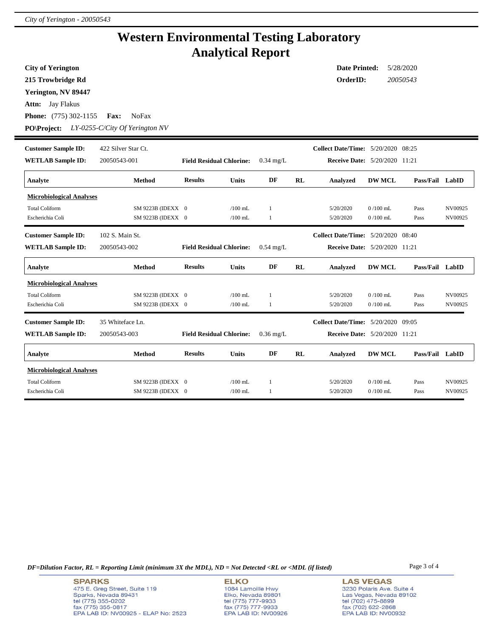# **Western Environmental Testing Laboratory Analytical Report**

| <b>City of Yerington</b>        |                                |                                 |              |              |                                      | <b>Date Printed:</b>                      |               | 5/28/2020       |         |
|---------------------------------|--------------------------------|---------------------------------|--------------|--------------|--------------------------------------|-------------------------------------------|---------------|-----------------|---------|
| 215 Trowbridge Rd               |                                |                                 |              |              |                                      | OrderID:                                  |               | 20050543        |         |
| Yerington, NV 89447             |                                |                                 |              |              |                                      |                                           |               |                 |         |
| Jay Flakus<br>Attn:             |                                |                                 |              |              |                                      |                                           |               |                 |         |
| <b>Phone:</b> (775) 302-1155    | Fax:<br><b>NoFax</b>           |                                 |              |              |                                      |                                           |               |                 |         |
| <b>PO\Project:</b>              | LY-0255-C/City Of Yerington NV |                                 |              |              |                                      |                                           |               |                 |         |
| <b>Customer Sample ID:</b>      | 422 Silver Star Ct.            |                                 |              |              |                                      | <b>Collect Date/Time:</b> 5/20/2020 08:25 |               |                 |         |
| <b>WETLAB</b> Sample ID:        | 20050543-001                   | <b>Field Residual Chlorine:</b> | $0.34$ mg/L  |              | <b>Receive Date:</b> 5/20/2020 11:21 |                                           |               |                 |         |
| Analyte                         | <b>Method</b>                  | <b>Results</b>                  | <b>Units</b> | DF           | RL                                   | Analyzed                                  | <b>DW MCL</b> | Pass/Fail LabID |         |
| <b>Microbiological Analyses</b> |                                |                                 |              |              |                                      |                                           |               |                 |         |
| <b>Total Coliform</b>           | SM 9223B (IDEXX 0              |                                 | $/100$ mL    | 1            |                                      | 5/20/2020                                 | $0/100$ mL    | Pass            | NV00925 |
| Escherichia Coli                | SM 9223B (IDEXX 0              |                                 | $/100$ mL    | 1            |                                      | 5/20/2020                                 | $0/100$ mL    | Pass            | NV00925 |
| <b>Customer Sample ID:</b>      | 102 S. Main St.                |                                 |              |              |                                      | <b>Collect Date/Time:</b> 5/20/2020 08:40 |               |                 |         |
| <b>WETLAB Sample ID:</b>        | 20050543-002                   | <b>Field Residual Chlorine:</b> |              | $0.54$ mg/L  |                                      | Receive Date: 5/20/2020 11:21             |               |                 |         |
| Analyte                         | <b>Method</b>                  | <b>Results</b>                  | <b>Units</b> | DF           | RL                                   | Analyzed                                  | <b>DW MCL</b> | Pass/Fail LabID |         |
| <b>Microbiological Analyses</b> |                                |                                 |              |              |                                      |                                           |               |                 |         |
| <b>Total Coliform</b>           | SM 9223B (IDEXX 0              |                                 | $/100$ mL    | $\mathbf{1}$ |                                      | 5/20/2020                                 | $0/100$ mL    | Pass            | NV00925 |
| Escherichia Coli                | SM 9223B (IDEXX 0              |                                 | $/100$ mL    | -1           |                                      | 5/20/2020                                 | $0/100$ mL    | Pass            | NV00925 |
| <b>Customer Sample ID:</b>      | 35 Whiteface Ln.               |                                 |              |              |                                      | Collect Date/Time: 5/20/2020 09:05        |               |                 |         |
| <b>WETLAB Sample ID:</b>        | 20050543-003                   | <b>Field Residual Chlorine:</b> |              | $0.36$ mg/L  |                                      | <b>Receive Date:</b> 5/20/2020 11:21      |               |                 |         |
| Analyte                         | Method                         | <b>Results</b>                  | <b>Units</b> | DF           | RL                                   | Analyzed                                  | <b>DW MCL</b> | Pass/Fail LabID |         |
| <b>Microbiological Analyses</b> |                                |                                 |              |              |                                      |                                           |               |                 |         |
| <b>Total Coliform</b>           | SM 9223B (IDEXX 0              |                                 | $/100$ mL    | 1            |                                      | 5/20/2020                                 | $0/100$ mL    | Pass            | NV00925 |
| Escherichia Coli                | SM 9223B (IDEXX 0              |                                 | $/100$ mL    | 1            |                                      | 5/20/2020                                 | $0/100$ mL    | Pass            | NV00925 |

*DF=Dilution Factor, RL = Reporting Limit (minimum 3X the MDL), ND = Not Detected <RL or <MDL (if listed)* Page 3 of 4

**ELKO** 1084 Lamoille Hwy Elko, Nevada 89801<br>tel (775) 777-9933<br>fax (775) 777-9933 EPA LAB ID: NV00926 **LAS VEGAS** 3230 Polaris Ave. Suite 4 Las Vegas, Nevada 89102 tel (702) 475-8899<br>fax (702) 622-2868<br>EPA LAB ID: NV00932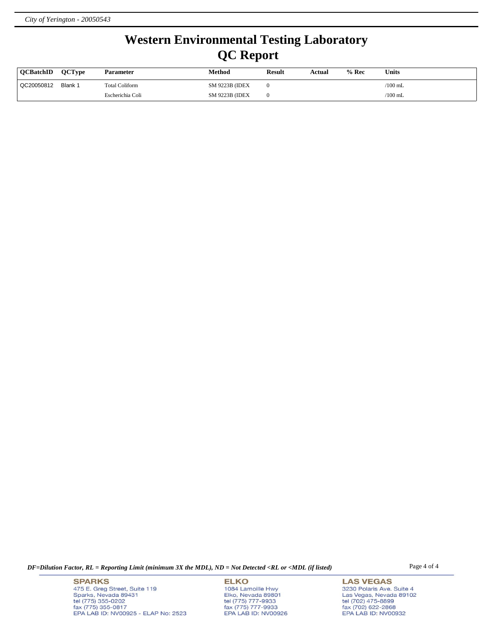# **Western Environmental Testing Laboratory QC Report**

| <b>OCBatchID</b> | <b>OCTvpe</b> | <b>Parameter</b> | Method                 | <b>Result</b> | Actual | $%$ Rec | <b>Units</b>    |
|------------------|---------------|------------------|------------------------|---------------|--------|---------|-----------------|
| QC20050812       | Blank 1       | Total Coliform   | <b>SM 9223B (IDEX)</b> |               |        |         | $\sqrt{100}$ mL |
|                  |               | Escherichia Coli | <b>SM 9223B (IDEX)</b> |               |        |         | $\sqrt{100}$ mL |

*DF=Dilution Factor, RL = Reporting Limit (minimum 3X the MDL), ND = Not Detected <RL or <MDL (if listed)* Page 4 of 4

**SPARKS** 475 E. Greg Street, Suite 119 Sparks, Nevada 89431<br>tel (775) 355-0202<br>fax (775) 355-0817 EPA LAB ID: NV00925 - ELAP No: 2523

**ELKO** 1084 Lamoille Hwy Elko, Nevada 89801<br>tel (775) 777-9933<br>fax (775) 777-9933 EPA LAB ID: NV00926 **LAS VEGAS** 3230 Polaris Ave. Suite 4 Las Vegas, Nevada 89102 tel (702) 475-8899<br>fax (702) 622-2868<br>EPA LAB ID: NV00932